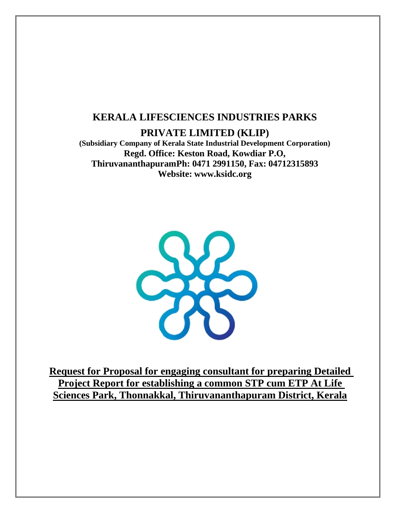# **KERALA LIFESCIENCES INDUSTRIES PARKS**

**PRIVATE LIMITED (KLIP)**

**(Subsidiary Company of Kerala State Industrial Development Corporation) Regd. Office: Keston Road, Kowdiar P.O, ThiruvananthapuramPh: 0471 2991150, Fax: 04712315893 Website: [www.ksidc.org](http://www.ksidc.org/)**



**Request for Proposal for engaging consultant for preparing Detailed Project Report for establishing a common STP cum ETP At Life Sciences Park, Thonnakkal, Thiruvananthapuram District, Kerala**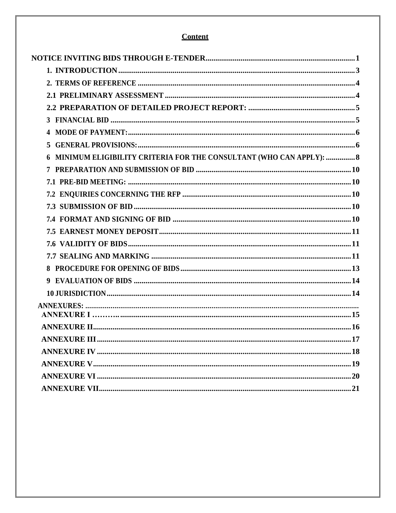# **Content**

| 4                                                                   |
|---------------------------------------------------------------------|
| 5                                                                   |
| MINIMUM ELIGIBILITY CRITERIA FOR THE CONSULTANT (WHO CAN APPLY):  8 |
|                                                                     |
|                                                                     |
|                                                                     |
|                                                                     |
|                                                                     |
|                                                                     |
|                                                                     |
|                                                                     |
|                                                                     |
|                                                                     |
|                                                                     |
|                                                                     |
|                                                                     |
|                                                                     |
|                                                                     |
|                                                                     |
|                                                                     |
|                                                                     |
|                                                                     |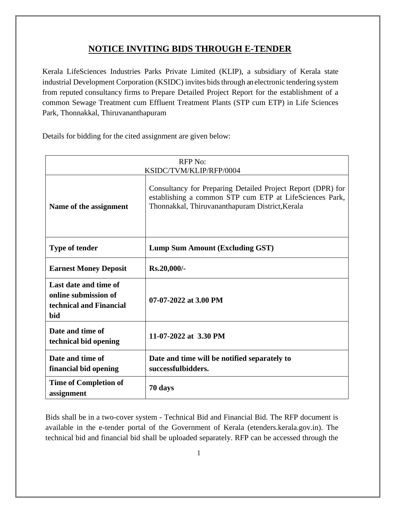# **NOTICE INVITING BIDS THROUGH E-TENDER**

<span id="page-2-0"></span>Kerala LifeSciences Industries Parks Private Limited (KLIP), a subsidiary of Kerala state industrial Development Corporation (KSIDC) invites bids through an electronic tendering system from reputed consultancy firms to Prepare Detailed Project Report for the establishment of a common Sewage Treatment cum Effluent Treatment Plants (STP cum ETP) in Life Sciences Park, Thonnakkal, Thiruvananthapuram

Details for bidding for the cited assignment are given below:

| <b>RFP</b> No:<br>KSIDC/TVM/KLIP/RFP/0004                                       |                                                                                                                                                                           |  |  |  |
|---------------------------------------------------------------------------------|---------------------------------------------------------------------------------------------------------------------------------------------------------------------------|--|--|--|
| Name of the assignment                                                          | Consultancy for Preparing Detailed Project Report (DPR) for<br>establishing a common STP cum ETP at LifeSciences Park,<br>Thonnakkal, Thiruvananthapuram District, Kerala |  |  |  |
| <b>Type of tender</b><br><b>Lump Sum Amount (Excluding GST)</b>                 |                                                                                                                                                                           |  |  |  |
| <b>Earnest Money Deposit</b>                                                    | Rs.20,000/-                                                                                                                                                               |  |  |  |
| Last date and time of<br>online submission of<br>technical and Financial<br>bid | 07-07-2022 at 3.00 PM                                                                                                                                                     |  |  |  |
| Date and time of<br>technical bid opening                                       | 11-07-2022 at 3.30 PM                                                                                                                                                     |  |  |  |
| Date and time of<br>financial bid opening                                       | Date and time will be notified separately to<br>successfulbidders.                                                                                                        |  |  |  |
| <b>Time of Completion of</b><br>assignment                                      | 70 days                                                                                                                                                                   |  |  |  |

Bids shall be in a two-cover system - Technical Bid and Financial Bid. The RFP document is available in the e-tender portal of the Government of Kerala [\(etenders.kerala.gov.in\)](http://www.etenders.kerala.gov.in/). The technical bid and financial bid shall be uploaded separately. RFP can be accessed through the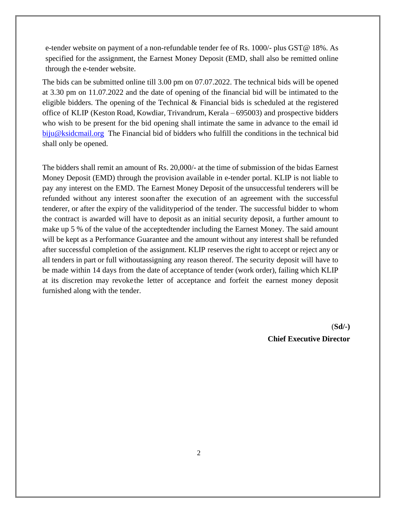e-tender website on payment of a non-refundable tender fee of Rs. 1000/- plus GST@ 18%. As specified for the assignment, the Earnest Money Deposit (EMD, shall also be remitted online through the e-tender website.

The bids can be submitted online till 3.00 pm on 07.07.2022. The technical bids will be opened at 3.30 pm on 11.07.2022 and the date of opening of the financial bid will be intimated to the eligible bidders. The opening of the Technical & Financial bids is scheduled at the registered office of KLIP (Keston Road, Kowdiar, Trivandrum, Kerala – 695003) and prospective bidders who wish to be present for the bid opening shall intimate the same in advance to the email id [biju@ksidcmail.org](mailto:biju@ksidcmail.org) The Financial bid of bidders who fulfill the conditions in the technical bid shall only be opened.

The bidders shall remit an amount of Rs. 20,000/- at the time of submission of the bidas Earnest Money Deposit (EMD) through the provision available in e-tender portal. KLIP is not liable to pay any interest on the EMD. The Earnest Money Deposit of the unsuccessful tenderers will be refunded without any interest soonafter the execution of an agreement with the successful tenderer, or after the expiry of the validityperiod of the tender. The successful bidder to whom the contract is awarded will have to deposit as an initial security deposit, a further amount to make up 5 % of the value of the acceptedtender including the Earnest Money. The said amount will be kept as a Performance Guarantee and the amount without any interest shall be refunded after successful completion of the assignment. KLIP reserves the right to accept or reject any or all tenders in part or full withoutassigning any reason thereof. The security deposit will have to be made within 14 days from the date of acceptance of tender (work order), failing which KLIP at its discretion may revokethe letter of acceptance and forfeit the earnest money deposit furnished along with the tender.

> (**Sd/-) Chief Executive Director**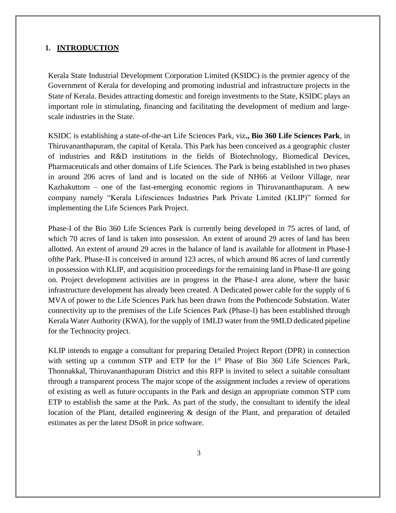#### <span id="page-4-0"></span>**1. INTRODUCTION**

Kerala State Industrial Development Corporation Limited (KSIDC) is the premier agency of the Government of Kerala for developing and promoting industrial and infrastructure projects in the State of Kerala. Besides attracting domestic and foreign investments to the State, KSIDC plays an important role in stimulating, financing and facilitating the development of medium and largescale industries in the State.

KSIDC is establishing a state-of-the-art Life Sciences Park, viz**., Bio 360 Life Sciences Park**, in Thiruvananthapuram, the capital of Kerala. This Park has been conceived as a geographic cluster of industries and R&D institutions in the fields of Biotechnology, Biomedical Devices, Pharmaceuticals and other domains of Life Sciences. The Park is being established in two phases in around 206 acres of land and is located on the side of NH66 at Veiloor Village, near Kazhakuttom – one of the fast-emerging economic regions in Thiruvananthapuram. A new company namely "Kerala Lifesciences Industries Park Private Limited (KLIP)" formed for implementing the Life Sciences Park Project.

Phase-I of the Bio 360 Life Sciences Park is currently being developed in 75 acres of land, of which 70 acres of land is taken into possession. An extent of around 29 acres of land has been allotted. An extent of around 29 acres in the balance of land is available for allotment in Phase-I ofthe Park. Phase-II is conceived in around 123 acres, of which around 86 acres of land currently in possession with KLIP, and acquisition proceedings for the remaining land in Phase-II are going on. Project development activities are in progress in the Phase-I area alone, where the basic infrastructure development has already been created. A Dedicated power cable for the supply of 6 MVA of power to the Life Sciences Park has been drawn from the Pothencode Substation. Water connectivity up to the premises of the Life Sciences Park (Phase-I) has been established through Kerala Water Authority (KWA), for the supply of 1MLD water from the 9MLD dedicated pipeline for the Technocity project.

KLIP intends to engage a consultant for preparing Detailed Project Report (DPR) in connection with setting up a common STP and ETP for the  $1<sup>st</sup>$  Phase of Bio 360 Life Sciences Park, Thonnakkal, Thiruvananthapuram District and this RFP is invited to select a suitable consultant through a transparent process The major scope of the assignment includes a review of operations of existing as well as future occupants in the Park and design an appropriate common STP cum ETP to establish the same at the Park. As part of the study, the consultant to identify the ideal location of the Plant, detailed engineering & design of the Plant, and preparation of detailed estimates as per the latest DSoR in price software.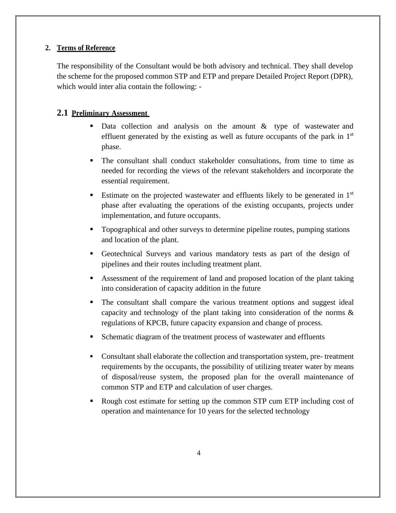### <span id="page-5-0"></span>**2. Terms of Reference**

The responsibility of the Consultant would be both advisory and technical. They shall develop the scheme for the proposed common STP and ETP and prepare Detailed Project Report (DPR), which would inter alia contain the following: -

### <span id="page-5-1"></span>**2.1 Preliminary Assessment**

- **•** Data collection and analysis on the amount  $\&$  type of wastewater and effluent generated by the existing as well as future occupants of the park in  $1<sup>st</sup>$ phase.
- The consultant shall conduct stakeholder consultations, from time to time as needed for recording the views of the relevant stakeholders and incorporate the essential requirement.
- **Estimate on the projected wastewater and effluents likely to be generated in**  $1<sup>st</sup>$ phase after evaluating the operations of the existing occupants, projects under implementation, and future occupants.
- **•** Topographical and other surveys to determine pipeline routes, pumping stations and location of the plant.
- Geotechnical Surveys and various mandatory tests as part of the design of pipelines and their routes including treatment plant.
- Assessment of the requirement of land and proposed location of the plant taking into consideration of capacity addition in the future
- **•** The consultant shall compare the various treatment options and suggest ideal capacity and technology of the plant taking into consideration of the norms & regulations of KPCB, future capacity expansion and change of process.
- Schematic diagram of the treatment process of wastewater and effluents
- Consultant shall elaborate the collection and transportation system, pre- treatment requirements by the occupants, the possibility of utilizing treater water by means of disposal/reuse system, the proposed plan for the overall maintenance of common STP and ETP and calculation of user charges.
- Rough cost estimate for setting up the common STP cum ETP including cost of operation and maintenance for 10 years for the selected technology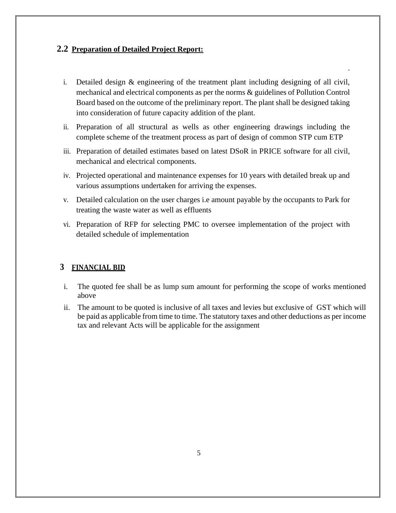### <span id="page-6-0"></span>**2.2 Preparation of Detailed Project Report:**

i. Detailed design & engineering of the treatment plant including designing of all civil, mechanical and electrical components as per the norms & guidelines of Pollution Control Board based on the outcome of the preliminary report. The plant shall be designed taking into consideration of future capacity addition of the plant.

.

- ii. Preparation of all structural as wells as other engineering drawings including the complete scheme of the treatment process as part of design of common STP cum ETP
- iii. Preparation of detailed estimates based on latest DSoR in PRICE software for all civil, mechanical and electrical components.
- iv. Projected operational and maintenance expenses for 10 years with detailed break up and various assumptions undertaken for arriving the expenses.
- v. Detailed calculation on the user charges i.e amount payable by the occupants to Park for treating the waste water as well as effluents
- vi. Preparation of RFP for selecting PMC to oversee implementation of the project with detailed schedule of implementation

### <span id="page-6-1"></span>**3 FINANCIAL BID**

- i. The quoted fee shall be as lump sum amount for performing the scope of works mentioned above
- ii. The amount to be quoted is inclusive of all taxes and levies but exclusive of GST which will be paid as applicable from time to time. The statutory taxes and other deductions as per income tax and relevant Acts will be applicable for the assignment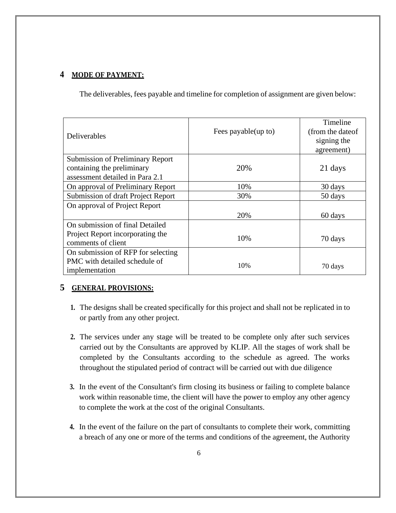# <span id="page-7-0"></span>**4 MODE OF PAYMENT:**

The deliverables, fees payable and timeline for completion of assignment are given below:

|                                         |                      | Timeline          |
|-----------------------------------------|----------------------|-------------------|
| Deliverables                            | Fees payable (up to) | (from the date of |
|                                         |                      | signing the       |
|                                         |                      | agreement)        |
| <b>Submission of Preliminary Report</b> |                      |                   |
| containing the preliminary              | 20%                  | 21 days           |
| assessment detailed in Para 2.1         |                      |                   |
| On approval of Preliminary Report       | 10%                  | 30 days           |
| Submission of draft Project Report      | 30%                  | 50 days           |
| On approval of Project Report           |                      |                   |
|                                         | 20%                  | 60 days           |
| On submission of final Detailed         |                      |                   |
| Project Report incorporating the        | 10%                  |                   |
| comments of client                      |                      | 70 days           |
| On submission of RFP for selecting      |                      |                   |
| PMC with detailed schedule of           | 10%                  |                   |
| implementation                          |                      | 70 days           |

## <span id="page-7-1"></span>**5 GENERAL PROVISIONS:**

- **1.** The designs shall be created specifically for this project and shall not be replicated in to or partly from any other project.
- **2.** The services under any stage will be treated to be complete only after such services carried out by the Consultants are approved by KLIP. All the stages of work shall be completed by the Consultants according to the schedule as agreed. The works throughout the stipulated period of contract will be carried out with due diligence
- **3.** In the event of the Consultant's firm closing its business or failing to complete balance work within reasonable time, the client will have the power to employ any other agency to complete the work at the cost of the original Consultants.
- **4.** In the event of the failure on the part of consultants to complete their work, committing a breach of any one or more of the terms and conditions of the agreement, the Authority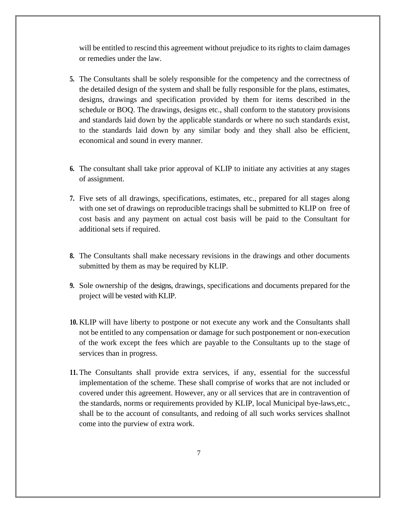will be entitled to rescind this agreement without prejudice to its rights to claim damages or remedies under the law.

- **5.** The Consultants shall be solely responsible for the competency and the correctness of the detailed design of the system and shall be fully responsible for the plans, estimates, designs, drawings and specification provided by them for items described in the schedule or BOQ. The drawings, designs etc., shall conform to the statutory provisions and standards laid down by the applicable standards or where no such standards exist, to the standards laid down by any similar body and they shall also be efficient, economical and sound in every manner.
- **6.** The consultant shall take prior approval of KLIP to initiate any activities at any stages of assignment.
- **7.** Five sets of all drawings, specifications, estimates, etc., prepared for all stages along with one set of drawings on reproducible tracings shall be submitted to KLIP on free of cost basis and any payment on actual cost basis will be paid to the Consultant for additional sets if required.
- **8.** The Consultants shall make necessary revisions in the drawings and other documents submitted by them as may be required by KLIP.
- **9.** Sole ownership of the designs, drawings, specifications and documents prepared for the project will be vested with KLIP.
- **10.** KLIP will have liberty to postpone or not execute any work and the Consultants shall not be entitled to any compensation or damage for such postponement or non-execution of the work except the fees which are payable to the Consultants up to the stage of services than in progress.
- **11.** The Consultants shall provide extra services, if any, essential for the successful implementation of the scheme. These shall comprise of works that are not included or covered under this agreement. However, any or all services that are in contravention of the standards, norms or requirements provided by KLIP, local Municipal bye-laws,etc., shall be to the account of consultants, and redoing of all such works services shallnot come into the purview of extra work.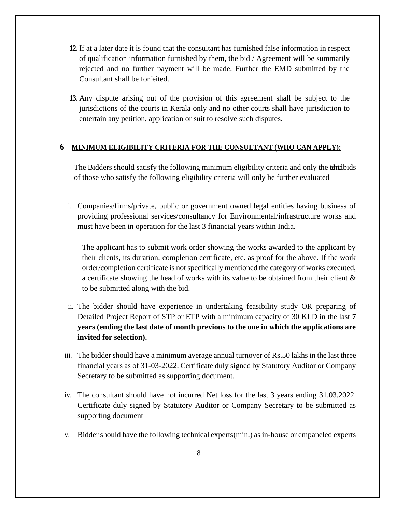- **12.** If at a later date it is found that the consultant has furnished false information in respect of qualification information furnished by them, the bid / Agreement will be summarily rejected and no further payment will be made. Further the EMD submitted by the Consultant shall be forfeited.
- **13.** Any dispute arising out of the provision of this agreement shall be subject to the jurisdictions of the courts in Kerala only and no other courts shall have jurisdiction to entertain any petition, application or suit to resolve such disputes.

### <span id="page-9-0"></span>**6 MINIMUM ELIGIBILITY CRITERIA FOR THE CONSULTANT (WHO CAN APPLY):**

The Bidders should satisfy the following minimum eligibility criteria and only the tehnibids of those who satisfy the following eligibility criteria will only be further evaluated

i. Companies/firms/private, public or government owned legal entities having business of providing professional services/consultancy for Environmental/infrastructure works and must have been in operation for the last 3 financial years within India.

The applicant has to submit work order showing the works awarded to the applicant by their clients, its duration, completion certificate, etc. as proof for the above. If the work order/completion certificate is not specifically mentioned the category of works executed, a certificate showing the head of works with its value to be obtained from their client & to be submitted along with the bid.

- ii. The bidder should have experience in undertaking feasibility study OR preparing of Detailed Project Report of STP or ETP with a minimum capacity of 30 KLD in the last **7 years (ending the last date of month previous to the one in which the applications are invited for selection).**
- iii. The bidder should have a minimum average annual turnover of Rs.50 lakhs in the last three financial years as of 31-03-2022. Certificate duly signed by Statutory Auditor or Company Secretary to be submitted as supporting document.
- iv. The consultant should have not incurred Net loss for the last 3 years ending 31.03.2022. Certificate duly signed by Statutory Auditor or Company Secretary to be submitted as supporting document
- v. Bidder should have the following technical experts(min.) as in-house or empaneled experts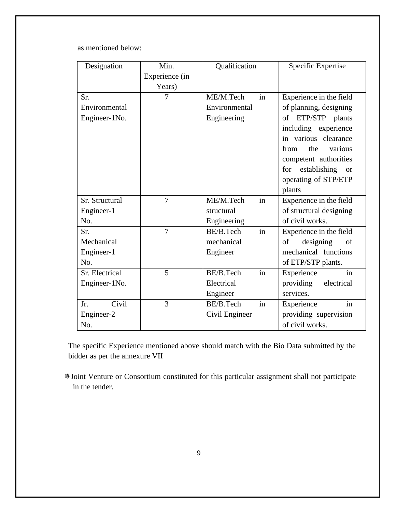as mentioned below:

| Designation    | Min.           | Qualification                           | Specific Expertise                   |
|----------------|----------------|-----------------------------------------|--------------------------------------|
|                | Experience (in |                                         |                                      |
|                | Years)         |                                         |                                      |
| Sr.            | 7              | in<br>ME/M.Tech                         | Experience in the field              |
| Environmental  |                | Environmental                           | of planning, designing               |
| Engineer-1No.  |                | Engineering                             | ETP/STP plants<br>of                 |
|                |                |                                         | including experience                 |
|                |                |                                         | in various clearance                 |
|                |                |                                         | the<br>various<br>from               |
|                |                |                                         | competent authorities                |
|                |                |                                         | establishing<br>for<br><sub>or</sub> |
|                |                |                                         | operating of STP/ETP                 |
|                |                |                                         | plants                               |
| Sr. Structural | $\overline{7}$ | in<br>ME/M.Tech                         | Experience in the field              |
| Engineer-1     |                | of structural designing<br>structural   |                                      |
| No.            |                | of civil works.<br>Engineering          |                                      |
| Sr.            | $\overline{7}$ | BE/B.Tech<br>in                         | Experience in the field              |
| Mechanical     |                | mechanical                              | designing<br>of<br>of                |
| Engineer-1     |                | Engineer                                | mechanical functions                 |
| No.            |                |                                         | of ETP/STP plants.                   |
| Sr. Electrical | 5              | in<br>BE/B.Tech                         | in<br>Experience                     |
| Engineer-1No.  |                | Electrical<br>providing<br>electrical   |                                      |
|                |                | Engineer                                | services.                            |
| Civil<br>Jr.   | 3              | in<br>BE/B.Tech                         | in<br>Experience                     |
| Engineer-2     |                | Civil Engineer<br>providing supervision |                                      |
| No.            |                |                                         | of civil works.                      |

The specific Experience mentioned above should match with the Bio Data submitted by the bidder as per the annexure VII

Joint Venture or Consortium constituted for this particular assignment shall not participate in the tender.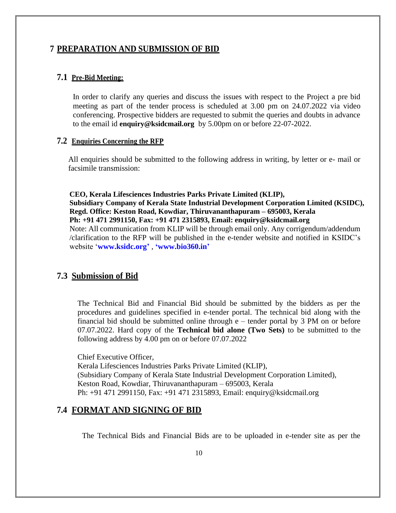### <span id="page-11-1"></span><span id="page-11-0"></span>**7 PREPARATION AND SUBMISSION OF BID**

#### **7.1 Pre-Bid Meeting:**

In order to clarify any queries and discuss the issues with respect to the Project a pre bid meeting as part of the tender process is scheduled at 3.00 pm on 24.07.2022 via video conferencing. Prospective bidders are requested to submit the queries and doubts in advance to the email id **enquiry@ksidcmail.org** by 5.00pm on or before 22-07-2022.

#### <span id="page-11-2"></span>**7.2 Enquiries Concerning the RFP**

All enquiries should be submitted to the following address in writing, by letter or e- mail or facsimile transmission:

**CEO, Kerala Lifesciences Industries Parks Private Limited (KLIP), Subsidiary Company of Kerala State Industrial Development Corporation Limited (KSIDC), Regd. Office: Keston Road, Kowdiar, Thiruvananthapuram – 695003, Kerala Ph: +91 471 2991150, Fax: +91 471 2315893, Email: enquiry@ksidcmail.org** Note: All communication from KLIP will be through email only. Any corrigendum/addendum /clarification to the RFP will be published in the e-tender website and notified in KSIDC's website '**[www.ksidc.org'](http://www.ksidc.org/)** , **'www.bio360.in'**

### <span id="page-11-3"></span>**7.3 Submission of Bid**

The Technical Bid and Financial Bid should be submitted by the bidders as per the procedures and guidelines specified in e-tender portal. The technical bid along with the financial bid should be submitted online through e – tender portal by 3 PM on or before 07.07.2022. Hard copy of the **Technical bid alone (Two Sets)** to be submitted to the following address by 4.00 pm on or before 07.07.2022

Chief Executive Officer,

Kerala Lifesciences Industries Parks Private Limited (KLIP), (Subsidiary Company of Kerala State Industrial Development Corporation Limited), Keston Road, Kowdiar, Thiruvananthapuram – 695003, Kerala Ph: +91 471 2991150, Fax: +91 471 2315893, Email: enquiry@ksidcmail.org

### <span id="page-11-4"></span>**7.4 FORMAT AND SIGNING OF BID**

The Technical Bids and Financial Bids are to be uploaded in e-tender site as per the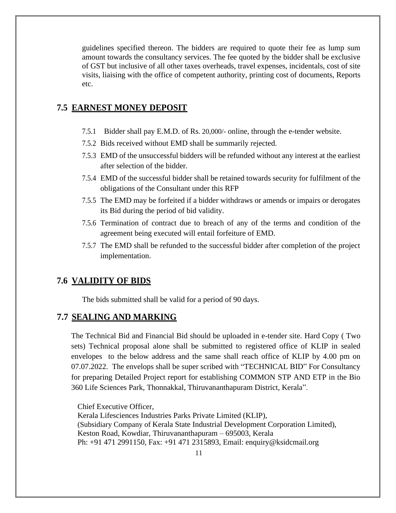guidelines specified thereon. The bidders are required to quote their fee as lump sum amount towards the consultancy services. The fee quoted by the bidder shall be exclusive of GST but inclusive of all other taxes overheads, travel expenses, incidentals, cost of site visits, liaising with the office of competent authority, printing cost of documents, Reports etc.

### <span id="page-12-0"></span>**7.5 EARNEST MONEY DEPOSIT**

- 7.5.1 Bidder shall pay E.M.D. of Rs. 20,000/- online, through the e-tender website.
- 7.5.2 Bids received without EMD shall be summarily rejected.
- 7.5.3 EMD of the unsuccessful bidders will be refunded without any interest at the earliest after selection of the bidder.
- 7.5.4 EMD of the successful bidder shall be retained towards security for fulfilment of the obligations of the Consultant under this RFP
- 7.5.5 The EMD may be forfeited if a bidder withdraws or amends or impairs or derogates its Bid during the period of bid validity.
- 7.5.6 Termination of contract due to breach of any of the terms and condition of the agreement being executed will entail forfeiture of EMD.
- 7.5.7 The EMD shall be refunded to the successful bidder after completion of the project implementation.

### <span id="page-12-1"></span>**7.6 VALIDITY OF BIDS**

The bids submitted shall be valid for a period of 90 days.

### <span id="page-12-2"></span>**7.7 SEALING AND MARKING**

The Technical Bid and Financial Bid should be uploaded in e-tender site. Hard Copy ( Two sets) Technical proposal alone shall be submitted to registered office of KLIP in sealed envelopes to the below address and the same shall reach office of KLIP by 4.00 pm on 07.07.2022. The envelops shall be super scribed with "TECHNICAL BID" For Consultancy for preparing Detailed Project report for establishing COMMON STP AND ETP in the Bio 360 Life Sciences Park, Thonnakkal, Thiruvananthapuram District, Kerala".

Chief Executive Officer, Kerala Lifesciences Industries Parks Private Limited (KLIP), (Subsidiary Company of Kerala State Industrial Development Corporation Limited), Keston Road, Kowdiar, Thiruvananthapuram – 695003, Kerala Ph: +91 471 2991150, Fax: +91 471 2315893, Email: enquiry@ksidcmail.org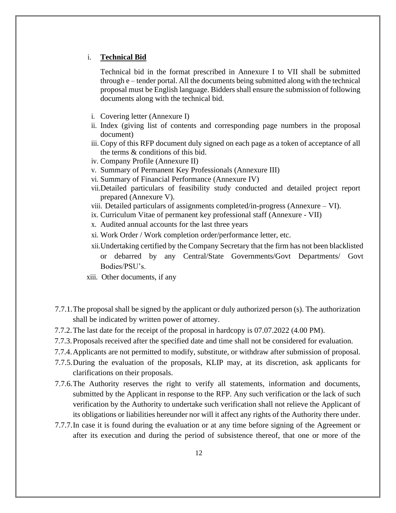#### i. **Technical Bid**

Technical bid in the format prescribed in Annexure I to VII shall be submitted through e – tender portal. All the documents being submitted along with the technical proposal must be English language. Bidders shall ensure the submission of following documents along with the technical bid.

- i. Covering letter (Annexure I)
- ii. Index (giving list of contents and corresponding page numbers in the proposal document)
- iii. Copy of this RFP document duly signed on each page as a token of acceptance of all the terms & conditions of this bid.
- iv. Company Profile (Annexure II)
- v. Summary of Permanent Key Professionals (Annexure III)
- vi. Summary of Financial Performance (Annexure IV)
- vii.Detailed particulars of feasibility study conducted and detailed project report prepared (Annexure V).
- viii. Detailed particulars of assignments completed/in-progress (Annexure VI).
- ix. Curriculum Vitae of permanent key professional staff (Annexure VII)
- x. Audited annual accounts for the last three years
- xi. Work Order / Work completion order/performance letter, etc.
- xii.Undertaking certified by the Company Secretary that the firm has not been blacklisted or debarred by any Central/State Governments/Govt Departments/ Govt Bodies/PSU's.
- xiii. Other documents, if any
- 7.7.1.The proposal shall be signed by the applicant or duly authorized person (s). The authorization shall be indicated by written power of attorney.
- 7.7.2.The last date for the receipt of the proposal in hardcopy is 07.07.2022 (4.00 PM).
- 7.7.3.Proposals received after the specified date and time shall not be considered for evaluation.
- 7.7.4.Applicants are not permitted to modify, substitute, or withdraw after submission of proposal.
- 7.7.5.During the evaluation of the proposals, KLIP may, at its discretion, ask applicants for clarifications on their proposals.
- 7.7.6.The Authority reserves the right to verify all statements, information and documents, submitted by the Applicant in response to the RFP. Any such verification or the lack of such verification by the Authority to undertake such verification shall not relieve the Applicant of its obligations or liabilities hereunder nor will it affect any rights of the Authority there under.
- 7.7.7.In case it is found during the evaluation or at any time before signing of the Agreement or after its execution and during the period of subsistence thereof, that one or more of the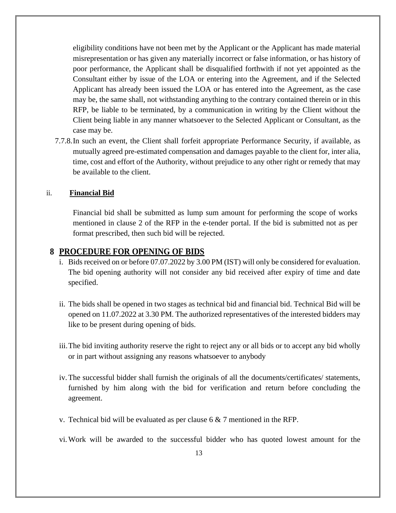eligibility conditions have not been met by the Applicant or the Applicant has made material misrepresentation or has given any materially incorrect or false information, or has history of poor performance, the Applicant shall be disqualified forthwith if not yet appointed as the Consultant either by issue of the LOA or entering into the Agreement, and if the Selected Applicant has already been issued the LOA or has entered into the Agreement, as the case may be, the same shall, not withstanding anything to the contrary contained therein or in this RFP, be liable to be terminated, by a communication in writing by the Client without the Client being liable in any manner whatsoever to the Selected Applicant or Consultant, as the case may be.

7.7.8.In such an event, the Client shall forfeit appropriate Performance Security, if available, as mutually agreed pre-estimated compensation and damages payable to the client for, inter alia, time, cost and effort of the Authority, without prejudice to any other right or remedy that may be available to the client.

#### ii. **Financial Bid**

Financial bid shall be submitted as lump sum amount for performing the scope of works mentioned in clause 2 of the RFP in the e-tender portal. If the bid is submitted not as per format prescribed, then such bid will be rejected.

#### <span id="page-14-0"></span>**8 PROCEDURE FOR OPENING OF BIDS**

- i. Bids received on or before 07.07.2022 by 3.00 PM (IST) will only be considered for evaluation. The bid opening authority will not consider any bid received after expiry of time and date specified.
- ii. The bids shall be opened in two stages as technical bid and financial bid. Technical Bid will be opened on 11.07.2022 at 3.30 PM. The authorized representatives of the interested bidders may like to be present during opening of bids.
- iii.The bid inviting authority reserve the right to reject any or all bids or to accept any bid wholly or in part without assigning any reasons whatsoever to anybody
- iv.The successful bidder shall furnish the originals of all the documents/certificates/ statements, furnished by him along with the bid for verification and return before concluding the agreement.
- v. Technical bid will be evaluated as per clause  $6 \& 7$  mentioned in the RFP.
- vi.Work will be awarded to the successful bidder who has quoted lowest amount for the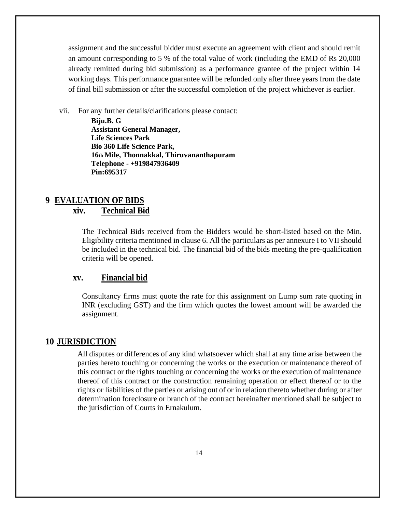assignment and the successful bidder must execute an agreement with client and should remit an amount corresponding to 5 % of the total value of work (including the EMD of Rs 20,000 already remitted during bid submission) as a performance grantee of the project within 14 working days. This performance guarantee will be refunded only after three years from the date of final bill submission or after the successful completion of the project whichever is earlier.

vii. For any further details/clarifications please contact:

**Biju.B. G Assistant General Manager, Life Sciences Park Bio 360 Life Science Park, 16th Mile, Thonnakkal, Thiruvananthapuram Telephone - +919847936409 Pin:695317**

# <span id="page-15-0"></span>**9 EVALUATION OF BIDS**

### **xiv. Technical Bid**

The Technical Bids received from the Bidders would be short-listed based on the Min. Eligibility criteria mentioned in clause 6. All the particulars as per annexure I to VII should be included in the technical bid. The financial bid of the bids meeting the pre-qualification criteria will be opened.

### **xv. Financial bid**

Consultancy firms must quote the rate for this assignment on Lump sum rate quoting in INR (excluding GST) and the firm which quotes the lowest amount will be awarded the assignment.

### <span id="page-15-1"></span>**10 JURISDICTION**

All disputes or differences of any kind whatsoever which shall at any time arise between the parties hereto touching or concerning the works or the execution or maintenance thereof of this contract or the rights touching or concerning the works or the execution of maintenance thereof of this contract or the construction remaining operation or effect thereof or to the rights or liabilities of the parties or arising out of or in relation thereto whether during or after determination foreclosure or branch of the contract hereinafter mentioned shall be subject to the jurisdiction of Courts in Ernakulum.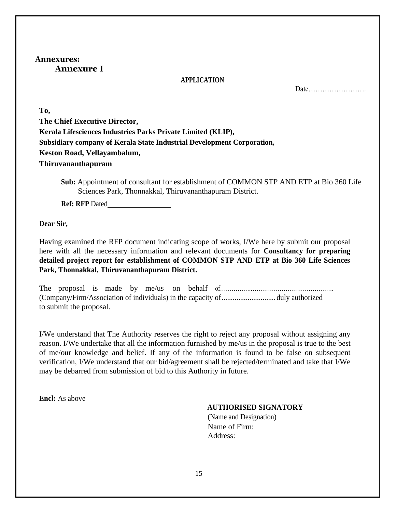### <span id="page-16-0"></span>**Annexures: Annexure I**

#### **APPLICATION**

Date…………………….

**To, The Chief Executive Director, Kerala Lifesciences Industries Parks Private Limited (KLIP), Subsidiary company of Kerala State Industrial Development Corporation, Keston Road, Vellayambalum, Thiruvananthapuram**

**Sub:** Appointment of consultant for establishment of COMMON STP AND ETP at Bio 360 Life Sciences Park, Thonnakkal, Thiruvananthapuram District.

**Ref: RFP** Dated

**Dear Sir,**

Having examined the RFP document indicating scope of works, I/We here by submit our proposal here with all the necessary information and relevant documents for **Consultancy for preparing detailed project report for establishment of COMMON STP AND ETP at Bio 360 Life Sciences Park, Thonnakkal, Thiruvananthapuram District.**

The proposal is made by me/us on behalf of memoritan-(Company/Firm/Association of individuals) in the capacity of............................. duly authorized to submit the proposal.

I/We understand that The Authority reserves the right to reject any proposal without assigning any reason. I/We undertake that all the information furnished by me/us in the proposal is true to the best of me/our knowledge and belief. If any of the information is found to be false on subsequent verification, I/We understand that our bid/agreement shall be rejected/terminated and take that I/We may be debarred from submission of bid to this Authority in future.

**Encl:** As above

#### **AUTHORISED SIGNATORY**

(Name and Designation) Name of Firm: Address: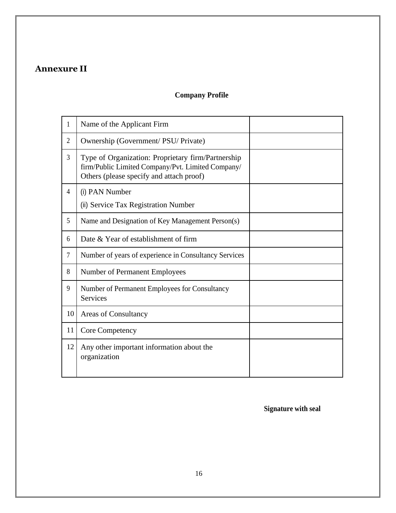# <span id="page-17-0"></span>**Annexure II**

# **Company Profile**

| 1              | Name of the Applicant Firm                                                                                                                          |  |
|----------------|-----------------------------------------------------------------------------------------------------------------------------------------------------|--|
| $\overline{2}$ | Ownership (Government/ PSU/ Private)                                                                                                                |  |
| 3              | Type of Organization: Proprietary firm/Partnership<br>firm/Public Limited Company/Pvt. Limited Company/<br>Others (please specify and attach proof) |  |
| 4              | (i) PAN Number                                                                                                                                      |  |
|                | (ii) Service Tax Registration Number                                                                                                                |  |
| 5              | Name and Designation of Key Management Person(s)                                                                                                    |  |
| 6              | Date & Year of establishment of firm                                                                                                                |  |
| $\tau$         | Number of years of experience in Consultancy Services                                                                                               |  |
| 8              | Number of Permanent Employees                                                                                                                       |  |
| 9              | Number of Permanent Employees for Consultancy<br><b>Services</b>                                                                                    |  |
| 10             | <b>Areas of Consultancy</b>                                                                                                                         |  |
| 11             | Core Competency                                                                                                                                     |  |
| 12             | Any other important information about the<br>organization                                                                                           |  |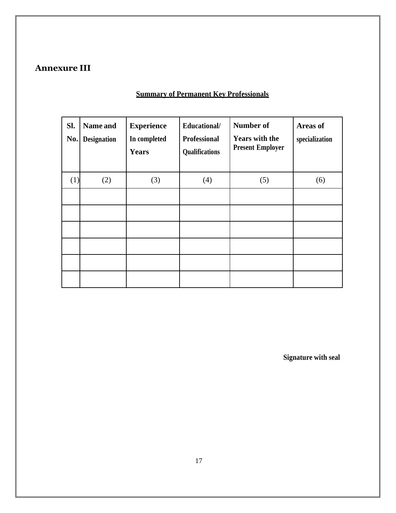# <span id="page-18-0"></span>**Annexure III**

# **Summary of Permanent Key Professionals**

| Sl.<br>No. | Name and<br><b>Designation</b> | <b>Experience</b><br>In completed<br><b>Years</b> | Educational/<br><b>Professional</b><br>Qualifications | <b>Number of</b><br><b>Years with the</b><br><b>Present Employer</b> | Areas of<br>specialization |
|------------|--------------------------------|---------------------------------------------------|-------------------------------------------------------|----------------------------------------------------------------------|----------------------------|
| (1)        | (2)                            | (3)                                               | (4)                                                   | (5)                                                                  | (6)                        |
|            |                                |                                                   |                                                       |                                                                      |                            |
|            |                                |                                                   |                                                       |                                                                      |                            |
|            |                                |                                                   |                                                       |                                                                      |                            |
|            |                                |                                                   |                                                       |                                                                      |                            |
|            |                                |                                                   |                                                       |                                                                      |                            |
|            |                                |                                                   |                                                       |                                                                      |                            |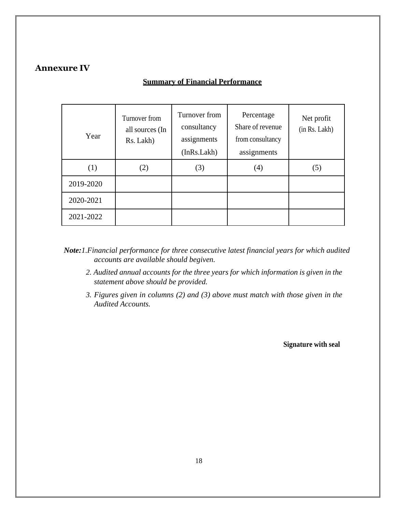### <span id="page-19-0"></span>**Annexure IV**

### **Summary of Financial Performance**

| Year      | Turnover from<br>all sources (In<br>Rs. Lakh) | Turnover from<br>consultancy<br>assignments<br>(InRs.Lakh) | Percentage<br>Share of revenue<br>from consultancy<br>assignments | Net profit<br>(in Rs. Lakh) |
|-----------|-----------------------------------------------|------------------------------------------------------------|-------------------------------------------------------------------|-----------------------------|
| (1)       | (2)                                           | (3)                                                        | $\left( 4\right)$                                                 | (5)                         |
| 2019-2020 |                                               |                                                            |                                                                   |                             |
| 2020-2021 |                                               |                                                            |                                                                   |                             |
| 2021-2022 |                                               |                                                            |                                                                   |                             |

- *Note:1.Financial performance for three consecutive latest financial years for which audited accounts are available should begiven.*
	- *2. Audited annual accounts for the three years for which information is given in the statement above should be provided.*
	- *3. Figures given in columns (2) and (3) above must match with those given in the Audited Accounts.*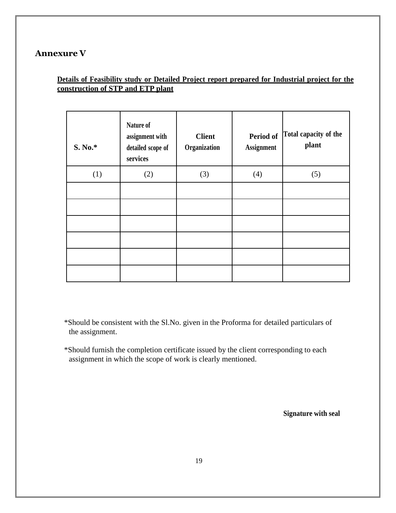# <span id="page-20-0"></span>**Annexure V**

### **Details of Feasibility study or Detailed Project report prepared for Industrial project for the construction of STP and ETP plant**

| S. No.* | Nature of<br>assignment with<br>detailed scope of<br>services | <b>Client</b><br>Organization | <b>Period of</b><br><b>Assignment</b> | Total capacity of the<br>plant |
|---------|---------------------------------------------------------------|-------------------------------|---------------------------------------|--------------------------------|
| (1)     | (2)                                                           | (3)                           | (4)                                   | (5)                            |
|         |                                                               |                               |                                       |                                |
|         |                                                               |                               |                                       |                                |
|         |                                                               |                               |                                       |                                |
|         |                                                               |                               |                                       |                                |
|         |                                                               |                               |                                       |                                |
|         |                                                               |                               |                                       |                                |

\*Should be consistent with the Sl.No. given in the Proforma for detailed particulars of the assignment.

\*Should furnish the completion certificate issued by the client corresponding to each assignment in which the scope of work is clearly mentioned.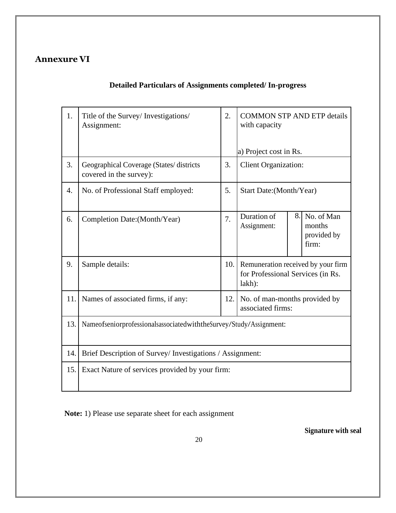# <span id="page-21-0"></span>**Annexure VI**

 $\mathsf{r}$ 

# **Detailed Particulars of Assignments completed/ In-progress**

T

Т

| 1.  | Title of the Survey/ Investigations/<br>Assignment:                 | 2.  | <b>COMMON STP AND ETP details</b><br>with capacity                                |    |                                              |  |
|-----|---------------------------------------------------------------------|-----|-----------------------------------------------------------------------------------|----|----------------------------------------------|--|
|     |                                                                     |     | a) Project cost in Rs.                                                            |    |                                              |  |
| 3.  | Geographical Coverage (States/ districts<br>covered in the survey): | 3.  | <b>Client Organization:</b>                                                       |    |                                              |  |
| 4.  | No. of Professional Staff employed:                                 | 5.  | Start Date: (Month/Year)                                                          |    |                                              |  |
| 6.  | Completion Date: (Month/Year)                                       | 7.  | Duration of<br>Assignment:                                                        | 8. | No. of Man<br>months<br>provided by<br>firm: |  |
| 9.  | Sample details:                                                     | 10. | Remuneration received by your firm<br>for Professional Services (in Rs.<br>lakh): |    |                                              |  |
| 11. | Names of associated firms, if any:                                  | 12. | No. of man-months provided by<br>associated firms:                                |    |                                              |  |
| 13. | NameofseniorprofessionalsassociatedwiththeSurvey/Study/Assignment:  |     |                                                                                   |    |                                              |  |
| 14. | Brief Description of Survey/ Investigations / Assignment:           |     |                                                                                   |    |                                              |  |
| 15. | Exact Nature of services provided by your firm:                     |     |                                                                                   |    |                                              |  |

**Note:** 1) Please use separate sheet for each assignment